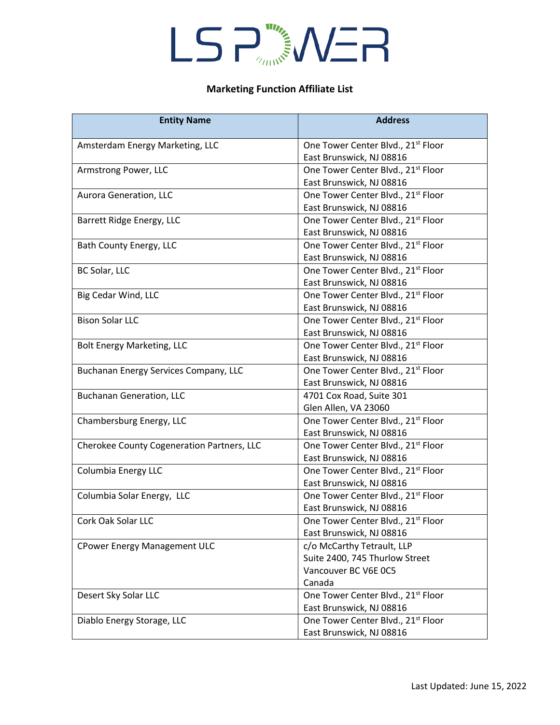### LSP NER

#### **Marketing Function Affiliate List**

| <b>Entity Name</b>                         | <b>Address</b>                                                                                 |
|--------------------------------------------|------------------------------------------------------------------------------------------------|
| Amsterdam Energy Marketing, LLC            | One Tower Center Blvd., 21 <sup>st</sup> Floor<br>East Brunswick, NJ 08816                     |
| Armstrong Power, LLC                       | One Tower Center Blvd., 21st Floor<br>East Brunswick, NJ 08816                                 |
| Aurora Generation, LLC                     | One Tower Center Blvd., 21 <sup>st</sup> Floor<br>East Brunswick, NJ 08816                     |
| Barrett Ridge Energy, LLC                  | One Tower Center Blvd., 21 <sup>st</sup> Floor<br>East Brunswick, NJ 08816                     |
| Bath County Energy, LLC                    | One Tower Center Blvd., 21 <sup>st</sup> Floor<br>East Brunswick, NJ 08816                     |
| BC Solar, LLC                              | One Tower Center Blvd., 21 <sup>st</sup> Floor<br>East Brunswick, NJ 08816                     |
| Big Cedar Wind, LLC                        | One Tower Center Blvd., 21st Floor<br>East Brunswick, NJ 08816                                 |
| <b>Bison Solar LLC</b>                     | One Tower Center Blvd., 21 <sup>st</sup> Floor<br>East Brunswick, NJ 08816                     |
| <b>Bolt Energy Marketing, LLC</b>          | One Tower Center Blvd., 21st Floor<br>East Brunswick, NJ 08816                                 |
| Buchanan Energy Services Company, LLC      | One Tower Center Blvd., 21 <sup>st</sup> Floor<br>East Brunswick, NJ 08816                     |
| <b>Buchanan Generation, LLC</b>            | 4701 Cox Road, Suite 301<br>Glen Allen, VA 23060                                               |
| Chambersburg Energy, LLC                   | One Tower Center Blvd., 21 <sup>st</sup> Floor<br>East Brunswick, NJ 08816                     |
| Cherokee County Cogeneration Partners, LLC | One Tower Center Blvd., 21 <sup>st</sup> Floor<br>East Brunswick, NJ 08816                     |
| Columbia Energy LLC                        | One Tower Center Blvd., 21 <sup>st</sup> Floor<br>East Brunswick, NJ 08816                     |
| Columbia Solar Energy, LLC                 | One Tower Center Blvd., 21 <sup>st</sup> Floor<br>East Brunswick, NJ 08816                     |
| Cork Oak Solar LLC                         | One Tower Center Blvd., 21 <sup>st</sup> Floor<br>East Brunswick, NJ 08816                     |
| <b>CPower Energy Management ULC</b>        | c/o McCarthy Tetrault, LLP<br>Suite 2400, 745 Thurlow Street<br>Vancouver BC V6E 0C5<br>Canada |
| Desert Sky Solar LLC                       | One Tower Center Blvd., 21 <sup>st</sup> Floor<br>East Brunswick, NJ 08816                     |
| Diablo Energy Storage, LLC                 | One Tower Center Blvd., 21st Floor<br>East Brunswick, NJ 08816                                 |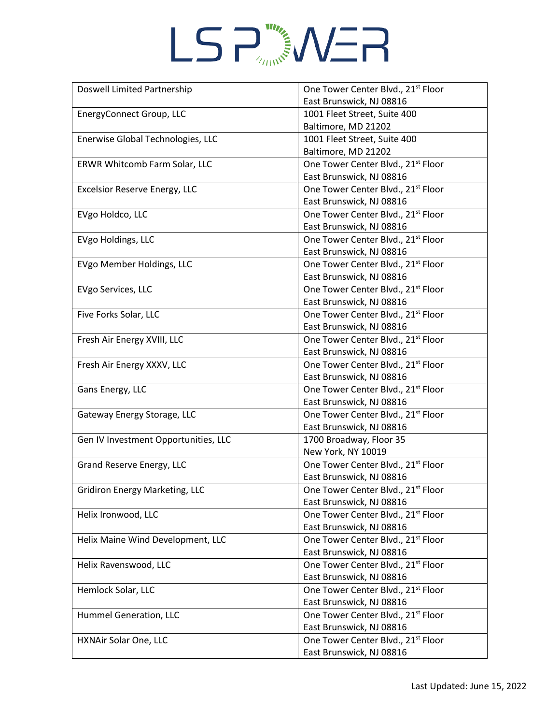# LSP<sub>ANNS</sub>WER

| Doswell Limited Partnership          | One Tower Center Blvd., 21st Floor             |
|--------------------------------------|------------------------------------------------|
|                                      | East Brunswick, NJ 08816                       |
| EnergyConnect Group, LLC             | 1001 Fleet Street, Suite 400                   |
|                                      | Baltimore, MD 21202                            |
| Enerwise Global Technologies, LLC    | 1001 Fleet Street, Suite 400                   |
|                                      | Baltimore, MD 21202                            |
| ERWR Whitcomb Farm Solar, LLC        | One Tower Center Blvd., 21 <sup>st</sup> Floor |
|                                      | East Brunswick, NJ 08816                       |
| Excelsior Reserve Energy, LLC        | One Tower Center Blvd., 21 <sup>st</sup> Floor |
|                                      | East Brunswick, NJ 08816                       |
| EVgo Holdco, LLC                     | One Tower Center Blvd., 21 <sup>st</sup> Floor |
|                                      | East Brunswick, NJ 08816                       |
| EVgo Holdings, LLC                   | One Tower Center Blvd., 21 <sup>st</sup> Floor |
|                                      | East Brunswick, NJ 08816                       |
| EVgo Member Holdings, LLC            | One Tower Center Blvd., 21 <sup>st</sup> Floor |
|                                      | East Brunswick, NJ 08816                       |
| EVgo Services, LLC                   | One Tower Center Blvd., 21 <sup>st</sup> Floor |
|                                      | East Brunswick, NJ 08816                       |
| Five Forks Solar, LLC                | One Tower Center Blvd., 21st Floor             |
|                                      | East Brunswick, NJ 08816                       |
| Fresh Air Energy XVIII, LLC          | One Tower Center Blvd., 21 <sup>st</sup> Floor |
|                                      | East Brunswick, NJ 08816                       |
| Fresh Air Energy XXXV, LLC           | One Tower Center Blvd., 21 <sup>st</sup> Floor |
|                                      | East Brunswick, NJ 08816                       |
| Gans Energy, LLC                     | One Tower Center Blvd., 21 <sup>st</sup> Floor |
|                                      | East Brunswick, NJ 08816                       |
| Gateway Energy Storage, LLC          | One Tower Center Blvd., 21st Floor             |
|                                      | East Brunswick, NJ 08816                       |
| Gen IV Investment Opportunities, LLC | 1700 Broadway, Floor 35                        |
|                                      | New York, NY 10019                             |
| Grand Reserve Energy, LLC            | One Tower Center Blvd., 21 <sup>st</sup> Floor |
|                                      | East Brunswick, NJ 08816                       |
| Gridiron Energy Marketing, LLC       | One Tower Center Blvd., 21 <sup>st</sup> Floor |
|                                      | East Brunswick, NJ 08816                       |
| Helix Ironwood, LLC                  | One Tower Center Blvd., 21 <sup>st</sup> Floor |
|                                      | East Brunswick, NJ 08816                       |
| Helix Maine Wind Development, LLC    | One Tower Center Blvd., 21st Floor             |
|                                      | East Brunswick, NJ 08816                       |
| Helix Ravenswood, LLC                | One Tower Center Blvd., 21 <sup>st</sup> Floor |
|                                      | East Brunswick, NJ 08816                       |
| Hemlock Solar, LLC                   | One Tower Center Blvd., 21st Floor             |
|                                      | East Brunswick, NJ 08816                       |
| Hummel Generation, LLC               | One Tower Center Blvd., 21 <sup>st</sup> Floor |
|                                      | East Brunswick, NJ 08816                       |
|                                      |                                                |
| HXNAir Solar One, LLC                | One Tower Center Blvd., 21 <sup>st</sup> Floor |
|                                      | East Brunswick, NJ 08816                       |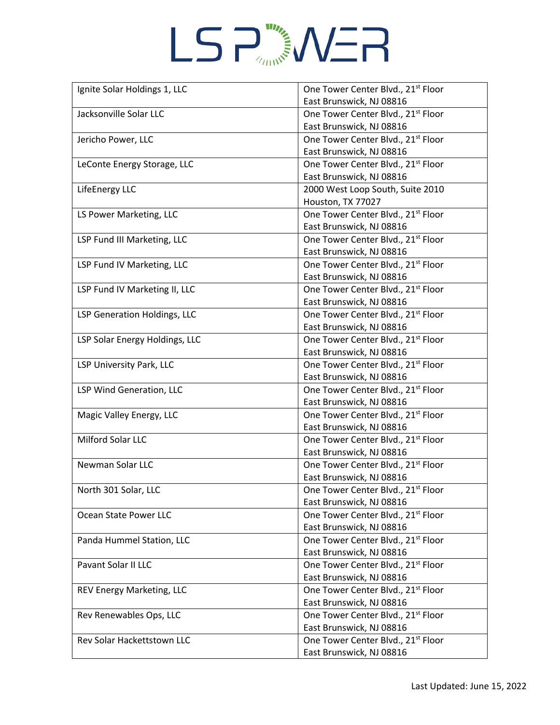# LSP<sub>ANNS</sub>WER

| East Brunswick, NJ 08816<br>One Tower Center Blvd., 21st Floor<br>Jacksonville Solar LLC<br>East Brunswick, NJ 08816<br>Jericho Power, LLC<br>One Tower Center Blvd., 21 <sup>st</sup> Floor<br>East Brunswick, NJ 08816<br>One Tower Center Blvd., 21 <sup>st</sup> Floor<br>LeConte Energy Storage, LLC<br>East Brunswick, NJ 08816<br>2000 West Loop South, Suite 2010<br>LifeEnergy LLC<br>Houston, TX 77027<br>LS Power Marketing, LLC<br>One Tower Center Blvd., 21 <sup>st</sup> Floor<br>East Brunswick, NJ 08816<br>One Tower Center Blvd., 21 <sup>st</sup> Floor<br>LSP Fund III Marketing, LLC<br>East Brunswick, NJ 08816<br>One Tower Center Blvd., 21 <sup>st</sup> Floor<br>LSP Fund IV Marketing, LLC<br>East Brunswick, NJ 08816<br>One Tower Center Blvd., 21 <sup>st</sup> Floor<br>LSP Fund IV Marketing II, LLC<br>East Brunswick, NJ 08816<br>One Tower Center Blvd., 21st Floor<br>LSP Generation Holdings, LLC<br>East Brunswick, NJ 08816<br>One Tower Center Blvd., 21 <sup>st</sup> Floor<br>LSP Solar Energy Holdings, LLC<br>East Brunswick, NJ 08816<br>One Tower Center Blvd., 21 <sup>st</sup> Floor<br>LSP University Park, LLC<br>East Brunswick, NJ 08816<br>One Tower Center Blvd., 21 <sup>st</sup> Floor<br>LSP Wind Generation, LLC<br>East Brunswick, NJ 08816<br>One Tower Center Blvd., 21 <sup>st</sup> Floor<br>Magic Valley Energy, LLC<br>East Brunswick, NJ 08816<br>Milford Solar LLC<br>One Tower Center Blvd., 21st Floor<br>East Brunswick, NJ 08816<br>One Tower Center Blvd., 21 <sup>st</sup> Floor<br>Newman Solar LLC<br>East Brunswick, NJ 08816<br>One Tower Center Blvd., 21 <sup>st</sup> Floor<br>North 301 Solar, LLC<br>East Brunswick, NJ 08816<br>One Tower Center Blvd., 21 <sup>st</sup> Floor<br>Ocean State Power LLC<br>East Brunswick, NJ 08816<br>One Tower Center Blvd., 21 <sup>st</sup> Floor<br>Panda Hummel Station, LLC<br>East Brunswick, NJ 08816<br>Pavant Solar II LLC<br>One Tower Center Blvd., 21 <sup>st</sup> Floor<br>East Brunswick, NJ 08816<br>One Tower Center Blvd., 21st Floor<br>REV Energy Marketing, LLC<br>East Brunswick, NJ 08816<br>Rev Renewables Ops, LLC<br>One Tower Center Blvd., 21 <sup>st</sup> Floor<br>East Brunswick, NJ 08816<br>One Tower Center Blvd., 21 <sup>st</sup> Floor<br>Rev Solar Hackettstown LLC | Ignite Solar Holdings 1, LLC | One Tower Center Blvd., 21 <sup>st</sup> Floor |
|---------------------------------------------------------------------------------------------------------------------------------------------------------------------------------------------------------------------------------------------------------------------------------------------------------------------------------------------------------------------------------------------------------------------------------------------------------------------------------------------------------------------------------------------------------------------------------------------------------------------------------------------------------------------------------------------------------------------------------------------------------------------------------------------------------------------------------------------------------------------------------------------------------------------------------------------------------------------------------------------------------------------------------------------------------------------------------------------------------------------------------------------------------------------------------------------------------------------------------------------------------------------------------------------------------------------------------------------------------------------------------------------------------------------------------------------------------------------------------------------------------------------------------------------------------------------------------------------------------------------------------------------------------------------------------------------------------------------------------------------------------------------------------------------------------------------------------------------------------------------------------------------------------------------------------------------------------------------------------------------------------------------------------------------------------------------------------------------------------------------------------------------------------------------------------------------------------------------------------------------------------------------------------------------------------------------------------|------------------------------|------------------------------------------------|
|                                                                                                                                                                                                                                                                                                                                                                                                                                                                                                                                                                                                                                                                                                                                                                                                                                                                                                                                                                                                                                                                                                                                                                                                                                                                                                                                                                                                                                                                                                                                                                                                                                                                                                                                                                                                                                                                                                                                                                                                                                                                                                                                                                                                                                                                                                                                 |                              |                                                |
|                                                                                                                                                                                                                                                                                                                                                                                                                                                                                                                                                                                                                                                                                                                                                                                                                                                                                                                                                                                                                                                                                                                                                                                                                                                                                                                                                                                                                                                                                                                                                                                                                                                                                                                                                                                                                                                                                                                                                                                                                                                                                                                                                                                                                                                                                                                                 |                              |                                                |
|                                                                                                                                                                                                                                                                                                                                                                                                                                                                                                                                                                                                                                                                                                                                                                                                                                                                                                                                                                                                                                                                                                                                                                                                                                                                                                                                                                                                                                                                                                                                                                                                                                                                                                                                                                                                                                                                                                                                                                                                                                                                                                                                                                                                                                                                                                                                 |                              |                                                |
|                                                                                                                                                                                                                                                                                                                                                                                                                                                                                                                                                                                                                                                                                                                                                                                                                                                                                                                                                                                                                                                                                                                                                                                                                                                                                                                                                                                                                                                                                                                                                                                                                                                                                                                                                                                                                                                                                                                                                                                                                                                                                                                                                                                                                                                                                                                                 |                              |                                                |
|                                                                                                                                                                                                                                                                                                                                                                                                                                                                                                                                                                                                                                                                                                                                                                                                                                                                                                                                                                                                                                                                                                                                                                                                                                                                                                                                                                                                                                                                                                                                                                                                                                                                                                                                                                                                                                                                                                                                                                                                                                                                                                                                                                                                                                                                                                                                 |                              |                                                |
|                                                                                                                                                                                                                                                                                                                                                                                                                                                                                                                                                                                                                                                                                                                                                                                                                                                                                                                                                                                                                                                                                                                                                                                                                                                                                                                                                                                                                                                                                                                                                                                                                                                                                                                                                                                                                                                                                                                                                                                                                                                                                                                                                                                                                                                                                                                                 |                              |                                                |
|                                                                                                                                                                                                                                                                                                                                                                                                                                                                                                                                                                                                                                                                                                                                                                                                                                                                                                                                                                                                                                                                                                                                                                                                                                                                                                                                                                                                                                                                                                                                                                                                                                                                                                                                                                                                                                                                                                                                                                                                                                                                                                                                                                                                                                                                                                                                 |                              |                                                |
|                                                                                                                                                                                                                                                                                                                                                                                                                                                                                                                                                                                                                                                                                                                                                                                                                                                                                                                                                                                                                                                                                                                                                                                                                                                                                                                                                                                                                                                                                                                                                                                                                                                                                                                                                                                                                                                                                                                                                                                                                                                                                                                                                                                                                                                                                                                                 |                              |                                                |
|                                                                                                                                                                                                                                                                                                                                                                                                                                                                                                                                                                                                                                                                                                                                                                                                                                                                                                                                                                                                                                                                                                                                                                                                                                                                                                                                                                                                                                                                                                                                                                                                                                                                                                                                                                                                                                                                                                                                                                                                                                                                                                                                                                                                                                                                                                                                 |                              |                                                |
|                                                                                                                                                                                                                                                                                                                                                                                                                                                                                                                                                                                                                                                                                                                                                                                                                                                                                                                                                                                                                                                                                                                                                                                                                                                                                                                                                                                                                                                                                                                                                                                                                                                                                                                                                                                                                                                                                                                                                                                                                                                                                                                                                                                                                                                                                                                                 |                              |                                                |
|                                                                                                                                                                                                                                                                                                                                                                                                                                                                                                                                                                                                                                                                                                                                                                                                                                                                                                                                                                                                                                                                                                                                                                                                                                                                                                                                                                                                                                                                                                                                                                                                                                                                                                                                                                                                                                                                                                                                                                                                                                                                                                                                                                                                                                                                                                                                 |                              |                                                |
|                                                                                                                                                                                                                                                                                                                                                                                                                                                                                                                                                                                                                                                                                                                                                                                                                                                                                                                                                                                                                                                                                                                                                                                                                                                                                                                                                                                                                                                                                                                                                                                                                                                                                                                                                                                                                                                                                                                                                                                                                                                                                                                                                                                                                                                                                                                                 |                              |                                                |
|                                                                                                                                                                                                                                                                                                                                                                                                                                                                                                                                                                                                                                                                                                                                                                                                                                                                                                                                                                                                                                                                                                                                                                                                                                                                                                                                                                                                                                                                                                                                                                                                                                                                                                                                                                                                                                                                                                                                                                                                                                                                                                                                                                                                                                                                                                                                 |                              |                                                |
|                                                                                                                                                                                                                                                                                                                                                                                                                                                                                                                                                                                                                                                                                                                                                                                                                                                                                                                                                                                                                                                                                                                                                                                                                                                                                                                                                                                                                                                                                                                                                                                                                                                                                                                                                                                                                                                                                                                                                                                                                                                                                                                                                                                                                                                                                                                                 |                              |                                                |
|                                                                                                                                                                                                                                                                                                                                                                                                                                                                                                                                                                                                                                                                                                                                                                                                                                                                                                                                                                                                                                                                                                                                                                                                                                                                                                                                                                                                                                                                                                                                                                                                                                                                                                                                                                                                                                                                                                                                                                                                                                                                                                                                                                                                                                                                                                                                 |                              |                                                |
|                                                                                                                                                                                                                                                                                                                                                                                                                                                                                                                                                                                                                                                                                                                                                                                                                                                                                                                                                                                                                                                                                                                                                                                                                                                                                                                                                                                                                                                                                                                                                                                                                                                                                                                                                                                                                                                                                                                                                                                                                                                                                                                                                                                                                                                                                                                                 |                              |                                                |
|                                                                                                                                                                                                                                                                                                                                                                                                                                                                                                                                                                                                                                                                                                                                                                                                                                                                                                                                                                                                                                                                                                                                                                                                                                                                                                                                                                                                                                                                                                                                                                                                                                                                                                                                                                                                                                                                                                                                                                                                                                                                                                                                                                                                                                                                                                                                 |                              |                                                |
|                                                                                                                                                                                                                                                                                                                                                                                                                                                                                                                                                                                                                                                                                                                                                                                                                                                                                                                                                                                                                                                                                                                                                                                                                                                                                                                                                                                                                                                                                                                                                                                                                                                                                                                                                                                                                                                                                                                                                                                                                                                                                                                                                                                                                                                                                                                                 |                              |                                                |
|                                                                                                                                                                                                                                                                                                                                                                                                                                                                                                                                                                                                                                                                                                                                                                                                                                                                                                                                                                                                                                                                                                                                                                                                                                                                                                                                                                                                                                                                                                                                                                                                                                                                                                                                                                                                                                                                                                                                                                                                                                                                                                                                                                                                                                                                                                                                 |                              |                                                |
|                                                                                                                                                                                                                                                                                                                                                                                                                                                                                                                                                                                                                                                                                                                                                                                                                                                                                                                                                                                                                                                                                                                                                                                                                                                                                                                                                                                                                                                                                                                                                                                                                                                                                                                                                                                                                                                                                                                                                                                                                                                                                                                                                                                                                                                                                                                                 |                              |                                                |
|                                                                                                                                                                                                                                                                                                                                                                                                                                                                                                                                                                                                                                                                                                                                                                                                                                                                                                                                                                                                                                                                                                                                                                                                                                                                                                                                                                                                                                                                                                                                                                                                                                                                                                                                                                                                                                                                                                                                                                                                                                                                                                                                                                                                                                                                                                                                 |                              |                                                |
|                                                                                                                                                                                                                                                                                                                                                                                                                                                                                                                                                                                                                                                                                                                                                                                                                                                                                                                                                                                                                                                                                                                                                                                                                                                                                                                                                                                                                                                                                                                                                                                                                                                                                                                                                                                                                                                                                                                                                                                                                                                                                                                                                                                                                                                                                                                                 |                              |                                                |
|                                                                                                                                                                                                                                                                                                                                                                                                                                                                                                                                                                                                                                                                                                                                                                                                                                                                                                                                                                                                                                                                                                                                                                                                                                                                                                                                                                                                                                                                                                                                                                                                                                                                                                                                                                                                                                                                                                                                                                                                                                                                                                                                                                                                                                                                                                                                 |                              |                                                |
|                                                                                                                                                                                                                                                                                                                                                                                                                                                                                                                                                                                                                                                                                                                                                                                                                                                                                                                                                                                                                                                                                                                                                                                                                                                                                                                                                                                                                                                                                                                                                                                                                                                                                                                                                                                                                                                                                                                                                                                                                                                                                                                                                                                                                                                                                                                                 |                              |                                                |
|                                                                                                                                                                                                                                                                                                                                                                                                                                                                                                                                                                                                                                                                                                                                                                                                                                                                                                                                                                                                                                                                                                                                                                                                                                                                                                                                                                                                                                                                                                                                                                                                                                                                                                                                                                                                                                                                                                                                                                                                                                                                                                                                                                                                                                                                                                                                 |                              |                                                |
|                                                                                                                                                                                                                                                                                                                                                                                                                                                                                                                                                                                                                                                                                                                                                                                                                                                                                                                                                                                                                                                                                                                                                                                                                                                                                                                                                                                                                                                                                                                                                                                                                                                                                                                                                                                                                                                                                                                                                                                                                                                                                                                                                                                                                                                                                                                                 |                              |                                                |
|                                                                                                                                                                                                                                                                                                                                                                                                                                                                                                                                                                                                                                                                                                                                                                                                                                                                                                                                                                                                                                                                                                                                                                                                                                                                                                                                                                                                                                                                                                                                                                                                                                                                                                                                                                                                                                                                                                                                                                                                                                                                                                                                                                                                                                                                                                                                 |                              |                                                |
|                                                                                                                                                                                                                                                                                                                                                                                                                                                                                                                                                                                                                                                                                                                                                                                                                                                                                                                                                                                                                                                                                                                                                                                                                                                                                                                                                                                                                                                                                                                                                                                                                                                                                                                                                                                                                                                                                                                                                                                                                                                                                                                                                                                                                                                                                                                                 |                              |                                                |
|                                                                                                                                                                                                                                                                                                                                                                                                                                                                                                                                                                                                                                                                                                                                                                                                                                                                                                                                                                                                                                                                                                                                                                                                                                                                                                                                                                                                                                                                                                                                                                                                                                                                                                                                                                                                                                                                                                                                                                                                                                                                                                                                                                                                                                                                                                                                 |                              |                                                |
|                                                                                                                                                                                                                                                                                                                                                                                                                                                                                                                                                                                                                                                                                                                                                                                                                                                                                                                                                                                                                                                                                                                                                                                                                                                                                                                                                                                                                                                                                                                                                                                                                                                                                                                                                                                                                                                                                                                                                                                                                                                                                                                                                                                                                                                                                                                                 |                              |                                                |
|                                                                                                                                                                                                                                                                                                                                                                                                                                                                                                                                                                                                                                                                                                                                                                                                                                                                                                                                                                                                                                                                                                                                                                                                                                                                                                                                                                                                                                                                                                                                                                                                                                                                                                                                                                                                                                                                                                                                                                                                                                                                                                                                                                                                                                                                                                                                 |                              |                                                |
|                                                                                                                                                                                                                                                                                                                                                                                                                                                                                                                                                                                                                                                                                                                                                                                                                                                                                                                                                                                                                                                                                                                                                                                                                                                                                                                                                                                                                                                                                                                                                                                                                                                                                                                                                                                                                                                                                                                                                                                                                                                                                                                                                                                                                                                                                                                                 |                              |                                                |
|                                                                                                                                                                                                                                                                                                                                                                                                                                                                                                                                                                                                                                                                                                                                                                                                                                                                                                                                                                                                                                                                                                                                                                                                                                                                                                                                                                                                                                                                                                                                                                                                                                                                                                                                                                                                                                                                                                                                                                                                                                                                                                                                                                                                                                                                                                                                 |                              |                                                |
|                                                                                                                                                                                                                                                                                                                                                                                                                                                                                                                                                                                                                                                                                                                                                                                                                                                                                                                                                                                                                                                                                                                                                                                                                                                                                                                                                                                                                                                                                                                                                                                                                                                                                                                                                                                                                                                                                                                                                                                                                                                                                                                                                                                                                                                                                                                                 |                              |                                                |
|                                                                                                                                                                                                                                                                                                                                                                                                                                                                                                                                                                                                                                                                                                                                                                                                                                                                                                                                                                                                                                                                                                                                                                                                                                                                                                                                                                                                                                                                                                                                                                                                                                                                                                                                                                                                                                                                                                                                                                                                                                                                                                                                                                                                                                                                                                                                 |                              |                                                |
|                                                                                                                                                                                                                                                                                                                                                                                                                                                                                                                                                                                                                                                                                                                                                                                                                                                                                                                                                                                                                                                                                                                                                                                                                                                                                                                                                                                                                                                                                                                                                                                                                                                                                                                                                                                                                                                                                                                                                                                                                                                                                                                                                                                                                                                                                                                                 |                              |                                                |
|                                                                                                                                                                                                                                                                                                                                                                                                                                                                                                                                                                                                                                                                                                                                                                                                                                                                                                                                                                                                                                                                                                                                                                                                                                                                                                                                                                                                                                                                                                                                                                                                                                                                                                                                                                                                                                                                                                                                                                                                                                                                                                                                                                                                                                                                                                                                 |                              |                                                |
|                                                                                                                                                                                                                                                                                                                                                                                                                                                                                                                                                                                                                                                                                                                                                                                                                                                                                                                                                                                                                                                                                                                                                                                                                                                                                                                                                                                                                                                                                                                                                                                                                                                                                                                                                                                                                                                                                                                                                                                                                                                                                                                                                                                                                                                                                                                                 |                              |                                                |
|                                                                                                                                                                                                                                                                                                                                                                                                                                                                                                                                                                                                                                                                                                                                                                                                                                                                                                                                                                                                                                                                                                                                                                                                                                                                                                                                                                                                                                                                                                                                                                                                                                                                                                                                                                                                                                                                                                                                                                                                                                                                                                                                                                                                                                                                                                                                 |                              |                                                |
|                                                                                                                                                                                                                                                                                                                                                                                                                                                                                                                                                                                                                                                                                                                                                                                                                                                                                                                                                                                                                                                                                                                                                                                                                                                                                                                                                                                                                                                                                                                                                                                                                                                                                                                                                                                                                                                                                                                                                                                                                                                                                                                                                                                                                                                                                                                                 |                              |                                                |
|                                                                                                                                                                                                                                                                                                                                                                                                                                                                                                                                                                                                                                                                                                                                                                                                                                                                                                                                                                                                                                                                                                                                                                                                                                                                                                                                                                                                                                                                                                                                                                                                                                                                                                                                                                                                                                                                                                                                                                                                                                                                                                                                                                                                                                                                                                                                 |                              |                                                |
|                                                                                                                                                                                                                                                                                                                                                                                                                                                                                                                                                                                                                                                                                                                                                                                                                                                                                                                                                                                                                                                                                                                                                                                                                                                                                                                                                                                                                                                                                                                                                                                                                                                                                                                                                                                                                                                                                                                                                                                                                                                                                                                                                                                                                                                                                                                                 |                              |                                                |
|                                                                                                                                                                                                                                                                                                                                                                                                                                                                                                                                                                                                                                                                                                                                                                                                                                                                                                                                                                                                                                                                                                                                                                                                                                                                                                                                                                                                                                                                                                                                                                                                                                                                                                                                                                                                                                                                                                                                                                                                                                                                                                                                                                                                                                                                                                                                 |                              |                                                |
|                                                                                                                                                                                                                                                                                                                                                                                                                                                                                                                                                                                                                                                                                                                                                                                                                                                                                                                                                                                                                                                                                                                                                                                                                                                                                                                                                                                                                                                                                                                                                                                                                                                                                                                                                                                                                                                                                                                                                                                                                                                                                                                                                                                                                                                                                                                                 |                              |                                                |
|                                                                                                                                                                                                                                                                                                                                                                                                                                                                                                                                                                                                                                                                                                                                                                                                                                                                                                                                                                                                                                                                                                                                                                                                                                                                                                                                                                                                                                                                                                                                                                                                                                                                                                                                                                                                                                                                                                                                                                                                                                                                                                                                                                                                                                                                                                                                 |                              | East Brunswick, NJ 08816                       |